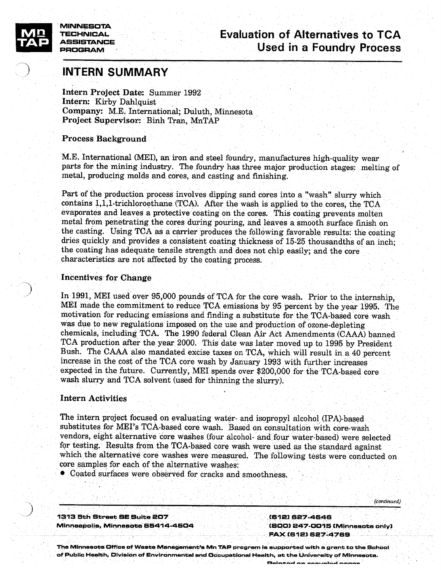

MINNESOTA PROGRAM

# TECHNICAL. Evaluation of Alternatives to TCA  $\overline{AB}$  ASSISTANCE Lydiuation of Alternatives to TCA

# INTERN SUMMARY

Intern Project Date: Summer 1992 Intern: Kirby Dahiquist Company: M.E. International; Duluth, Minnesota Project Supervisor: Binh Tran, MnTAP

# Process Background

M.E. International (MEl), an iron and steel foundry, manufactures high-quality wear parts for the mining industry. The foundry has three major production stages: melting of metal, producing molds and cores, and casting and finishing.

Part of the production process involves dipping sand cores into a "wash" slurry which contains 1,1,1-trichioroethane (TCA). After the wash is applied to the cores, the TCA evaporates and leaves <sup>a</sup> protective coating on the cores. This coating prevents molten metal from penetrating the cores during pouring, and leaves <sup>a</sup> smooth surface finish on the casting. Using TCA as <sup>a</sup> carrier produces the following favorable results: the coating dries quickly and provides <sup>a</sup> consistent coating thickness of 15-25 thousandths of an inch; the coating has adequate tensile strength and does not chip easily; and the core characteristics are not affected by the coating process.

# Incentives for Change

In 1991, MEl used over 95,000 pounds of TCA for the core wash. Prior to the internship, MEl made the commitment to reduce TCA emissions by 95 percent by the year 1995. The motivation for reducing emissions and finding <sup>a</sup> substitute for the TCA-based core wash was due to new regulations imposed on the use and production of ozone-depleting chemicals, including TCA. The 1990 federal Clean Air Act Amendments (CAAA) banned TCA production after the year 2000. This date was later moved up to 1995 by President Bush. The CAAA also mandated excise taxes on TCA, which will result in <sup>a</sup> 40 percent increase in the cost of the TCA core wash by January 1993 with further increases expected in the future. Currently, MET spendà over \$200,000 for the TCA-based core wash slurry and TCA solvent (used for thinning the slurry).

# Intern Activities

The intern project focused on evaluating water- and isopropyl alcohol (IPA)-based substitutes for MEI's TCA-based core wash. Based on consultation with core-wash vendors, eight alternative 'core washes (four alcohol- and four water-based) were selected for testing. Results from the TCA-based core wash were used, as the standard against which the alternative core washes were measured. The following tests were conducted on core samples for each of the alternative washes:

• Coated surfaces were observed for cracks and smoothness.

1313 5th Street SE Suite 207 (612) 627-4646 Minneapolis, Minnesota 55414.4504 ' (800) 247-0015 (Minnesota only)

FAX (612) 627-4769

- (continued)

The Minnesota Office of Waste Management's Mn TAP program is supported with <sup>a</sup> grant-to the School of Public Health. Division of Environmental end Occupational Health, at the University of Minnesota.Dainted on nonvelod nonor